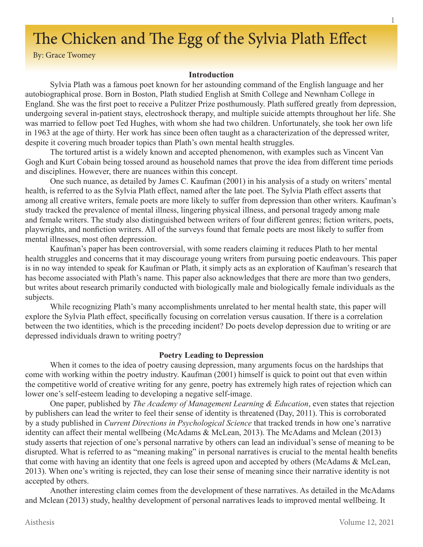# The Chicken and The Egg of the Sylvia Plath Effect

By: Grace Twomey

## **Introduction**

Sylvia Plath was a famous poet known for her astounding command of the English language and her autobiographical prose. Born in Boston, Plath studied English at Smith College and Newnham College in England. She was the first poet to receive a Pulitzer Prize posthumously. Plath suffered greatly from depression, undergoing several in-patient stays, electroshock therapy, and multiple suicide attempts throughout her life. She was married to fellow poet Ted Hughes, with whom she had two children. Unfortunately, she took her own life in 1963 at the age of thirty. Her work has since been often taught as a characterization of the depressed writer, despite it covering much broader topics than Plath's own mental health struggles.

The tortured artist is a widely known and accepted phenomenon, with examples such as Vincent Van Gogh and Kurt Cobain being tossed around as household names that prove the idea from different time periods and disciplines. However, there are nuances within this concept.

One such nuance, as detailed by James C. Kaufman (2001) in his analysis of a study on writers' mental health, is referred to as the Sylvia Plath effect, named after the late poet. The Sylvia Plath effect asserts that among all creative writers, female poets are more likely to suffer from depression than other writers. Kaufman's study tracked the prevalence of mental illness, lingering physical illness, and personal tragedy among male and female writers. The study also distinguished between writers of four different genres; fiction writers, poets, playwrights, and nonfiction writers. All of the surveys found that female poets are most likely to suffer from mental illnesses, most often depression.

Kaufman's paper has been controversial, with some readers claiming it reduces Plath to her mental health struggles and concerns that it may discourage young writers from pursuing poetic endeavours. This paper is in no way intended to speak for Kaufman or Plath, it simply acts as an exploration of Kaufman's research that has become associated with Plath's name. This paper also acknowledges that there are more than two genders, but writes about research primarily conducted with biologically male and biologically female individuals as the subjects.

While recognizing Plath's many accomplishments unrelated to her mental health state, this paper will explore the Sylvia Plath effect, specifically focusing on correlation versus causation. If there is a correlation between the two identities, which is the preceding incident? Do poets develop depression due to writing or are depressed individuals drawn to writing poetry?

# **Poetry Leading to Depression**

When it comes to the idea of poetry causing depression, many arguments focus on the hardships that come with working within the poetry industry. Kaufman (2001) himself is quick to point out that even within the competitive world of creative writing for any genre, poetry has extremely high rates of rejection which can lower one's self-esteem leading to developing a negative self-image.

One paper, published by *The Academy of Management Learning & Education*, even states that rejection by publishers can lead the writer to feel their sense of identity is threatened (Day, 2011). This is corroborated by a study published in *Current Directions in Psychological Science* that tracked trends in how one's narrative identity can affect their mental wellbeing (McAdams & McLean, 2013). The McAdams and Mclean (2013) study asserts that rejection of one's personal narrative by others can lead an individual's sense of meaning to be disrupted. What is referred to as "meaning making" in personal narratives is crucial to the mental health benefits that come with having an identity that one feels is agreed upon and accepted by others (McAdams & McLean, 2013). When one's writing is rejected, they can lose their sense of meaning since their narrative identity is not accepted by others.

Another interesting claim comes from the development of these narratives. As detailed in the McAdams and Mclean (2013) study, healthy development of personal narratives leads to improved mental wellbeing. It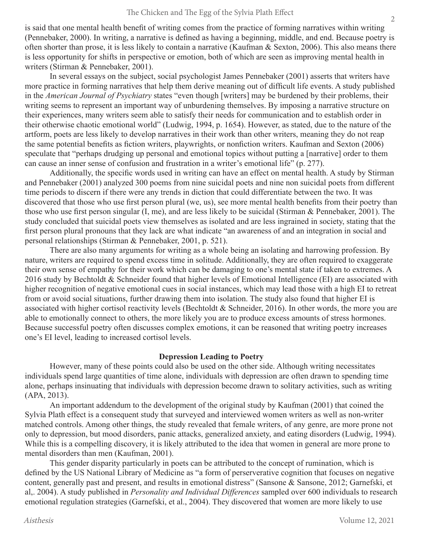is said that one mental health benefit of writing comes from the practice of forming narratives within writing (Pennebaker, 2000). In writing, a narrative is defined as having a beginning, middle, and end. Because poetry is often shorter than prose, it is less likely to contain a narrative (Kaufman & Sexton, 2006). This also means there is less opportunity for shifts in perspective or emotion, both of which are seen as improving mental health in writers (Stirman & Pennebaker, 2001).

In several essays on the subject, social psychologist James Pennebaker (2001) asserts that writers have more practice in forming narratives that help them derive meaning out of difficult life events. A study published in the *American Journal of Psychiatry* states "even though [writers] may be burdened by their problems, their writing seems to represent an important way of unburdening themselves. By imposing a narrative structure on their experiences, many writers seem able to satisfy their needs for communication and to establish order in their otherwise chaotic emotional world" (Ludwig, 1994, p. 1654). However, as stated, due to the nature of the artform, poets are less likely to develop narratives in their work than other writers, meaning they do not reap the same potential benefits as fiction writers, playwrights, or nonfiction writers. Kaufman and Sexton (2006) speculate that "perhaps drudging up personal and emotional topics without putting a [narrative] order to them can cause an inner sense of confusion and frustration in a writer's emotional life" (p. 277).

Additionally, the specific words used in writing can have an effect on mental health. A study by Stirman and Pennebaker (2001) analyzed 300 poems from nine suicidal poets and nine non suicidal poets from different time periods to discern if there were any trends in diction that could differentiate between the two. It was discovered that those who use first person plural (we, us), see more mental health benefits from their poetry than those who use first person singular (I, me), and are less likely to be suicidal (Stirman & Pennebaker, 2001). The study concluded that suicidal poets view themselves as isolated and are less ingrained in society, stating that the first person plural pronouns that they lack are what indicate "an awareness of and an integration in social and personal relationships (Stirman & Pennebaker, 2001, p. 521).

There are also many arguments for writing as a whole being an isolating and harrowing profession. By nature, writers are required to spend excess time in solitude. Additionally, they are often required to exaggerate their own sense of empathy for their work which can be damaging to one's mental state if taken to extremes. A 2016 study by Bechtoldt & Schneider found that higher levels of Emotional Intelligence (EI) are associated with higher recognition of negative emotional cues in social instances, which may lead those with a high EI to retreat from or avoid social situations, further drawing them into isolation. The study also found that higher EI is associated with higher cortisol reactivity levels (Bechtoldt & Schneider, 2016). In other words, the more you are able to emotionally connect to others, the more likely you are to produce excess amounts of stress hormones. Because successful poetry often discusses complex emotions, it can be reasoned that writing poetry increases one's EI level, leading to increased cortisol levels.

#### **Depression Leading to Poetry**

However, many of these points could also be used on the other side. Although writing necessitates individuals spend large quantities of time alone, individuals with depression are often drawn to spending time alone, perhaps insinuating that individuals with depression become drawn to solitary activities, such as writing (APA, 2013).

An important addendum to the development of the original study by Kaufman (2001) that coined the Sylvia Plath effect is a consequent study that surveyed and interviewed women writers as well as non-writer matched controls. Among other things, the study revealed that female writers, of any genre, are more prone not only to depression, but mood disorders, panic attacks, generalized anxiety, and eating disorders (Ludwig, 1994). While this is a compelling discovery, it is likely attributed to the idea that women in general are more prone to mental disorders than men (Kaufman, 2001).

This gender disparity particularly in poets can be attributed to the concept of rumination, which is defined by the US National Library of Medicine as "a form of perserverative cognition that focuses on negative content, generally past and present, and results in emotional distress" (Sansone & Sansone, 2012; Garnefski, et al,. 2004). A study published in *Personality and Individual Differences* sampled over 600 individuals to research emotional regulation strategies (Garnefski, et al., 2004). They discovered that women are more likely to use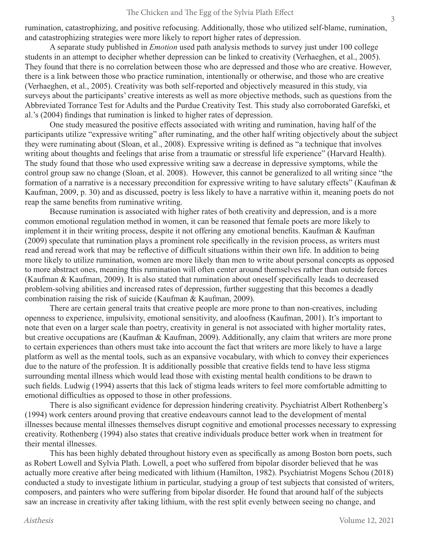rumination, catastrophizing, and positive refocusing. Additionally, those who utilized self-blame, rumination, and catastrophizing strategies were more likely to report higher rates of depression.

A separate study published in *Emotion* used path analysis methods to survey just under 100 college students in an attempt to decipher whether depression can be linked to creativity (Verhaeghen, et al., 2005). They found that there is no correlation between those who are depressed and those who are creative. However, there is a link between those who practice rumination, intentionally or otherwise, and those who are creative (Verhaeghen, et al., 2005). Creativity was both self-reported and objectively measured in this study, via surveys about the participants' creative interests as well as more objective methods, such as questions from the Abbreviated Torrance Test for Adults and the Purdue Creativity Test. This study also corroborated Garefski, et al.'s (2004) findings that rumination is linked to higher rates of depression.

One study measured the positive effects associated with writing and rumination, having half of the participants utilize "expressive writing" after ruminating, and the other half writing objectively about the subject they were ruminating about (Sloan, et al., 2008). Expressive writing is defined as "a technique that involves writing about thoughts and feelings that arise from a traumatic or stressful life experience" (Harvard Health). The study found that those who used expressive writing saw a decrease in depressive symptoms, while the control group saw no change (Sloan, et al. 2008). However, this cannot be generalized to all writing since "the formation of a narrative is a necessary precondition for expressive writing to have salutary effects" (Kaufman & Kaufman, 2009, p. 30) and as discussed, poetry is less likely to have a narrative within it, meaning poets do not reap the same benefits from ruminative writing.

Because rumination is associated with higher rates of both creativity and depression, and is a more common emotional regulation method in women, it can be reasoned that female poets are more likely to implement it in their writing process, despite it not offering any emotional benefits. Kaufman & Kaufman (2009) speculate that rumination plays a prominent role specifically in the revision process, as writers must read and reread work that may be reflective of difficult situations within their own life. In addition to being more likely to utilize rumination, women are more likely than men to write about personal concepts as opposed to more abstract ones, meaning this rumination will often center around themselves rather than outside forces (Kaufman & Kaufman, 2009). It is also stated that rumination about oneself specifically leads to decreased problem-solving abilities and increased rates of depression, further suggesting that this becomes a deadly combination raising the risk of suicide (Kaufman & Kaufman, 2009).

There are certain general traits that creative people are more prone to than non-creatives, including openness to experience, impulsivity, emotional sensitivity, and aloofness (Kaufman, 2001). It's important to note that even on a larger scale than poetry, creativity in general is not associated with higher mortality rates, but creative occupations are (Kaufman & Kaufman, 2009). Additionally, any claim that writers are more prone to certain experiences than others must take into account the fact that writers are more likely to have a large platform as well as the mental tools, such as an expansive vocabulary, with which to convey their experiences due to the nature of the profession. It is additionally possible that creative fields tend to have less stigma surrounding mental illness which would lead those with existing mental health conditions to be drawn to such fields. Ludwig (1994) asserts that this lack of stigma leads writers to feel more comfortable admitting to emotional difficulties as opposed to those in other professions.

There is also significant evidence for depression hindering creativity. Psychiatrist Albert Rothenberg's (1994) work centers around proving that creative endeavours cannot lead to the development of mental illnesses because mental illnesses themselves disrupt cognitive and emotional processes necessary to expressing creativity. Rothenberg (1994) also states that creative individuals produce better work when in treatment for their mental illnesses.

This has been highly debated throughout history even as specifically as among Boston born poets, such as Robert Lowell and Sylvia Plath. Lowell, a poet who suffered from bipolar disorder believed that he was actually more creative after being medicated with lithium (Hamilton, 1982). Psychiatrist Mogens Schou (2018) conducted a study to investigate lithium in particular, studying a group of test subjects that consisted of writers, composers, and painters who were suffering from bipolar disorder. He found that around half of the subjects saw an increase in creativity after taking lithium, with the rest split evenly between seeing no change, and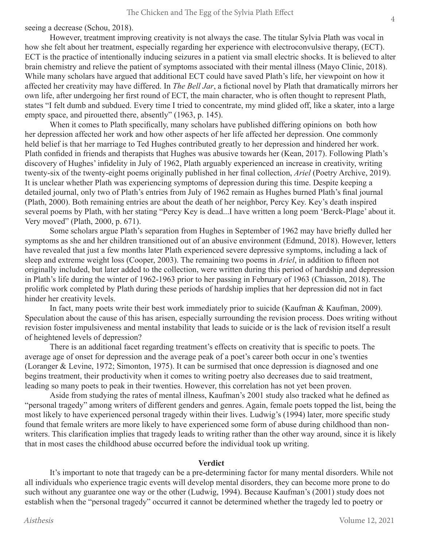seeing a decrease (Schou, 2018).

However, treatment improving creativity is not always the case. The titular Sylvia Plath was vocal in how she felt about her treatment, especially regarding her experience with electroconvulsive therapy, (ECT). ECT is the practice of intentionally inducing seizures in a patient via small electric shocks. It is believed to alter brain chemistry and relieve the patient of symptoms associated with their mental illness (Mayo Clinic, 2018). While many scholars have argued that additional ECT could have saved Plath's life, her viewpoint on how it affected her creativity may have differed. In *The Bell Jar*, a fictional novel by Plath that dramatically mirrors her own life, after undergoing her first round of ECT, the main character, who is often thought to represent Plath, states "I felt dumb and subdued. Every time I tried to concentrate, my mind glided off, like a skater, into a large empty space, and pirouetted there, absently" (1963, p. 145).

When it comes to Plath specifically, many scholars have published differing opinions on both how her depression affected her work and how other aspects of her life affected her depression. One commonly held belief is that her marriage to Ted Hughes contributed greatly to her depression and hindered her work. Plath confided in friends and therapists that Hughes was abusive towards her (Kean, 2017). Following Plath's discovery of Hughes' infidelity in July of 1962, Plath arguably experienced an increase in creativity, writing twenty-six of the twenty-eight poems originally published in her final collection, *Ariel* (Poetry Archive, 2019). It is unclear whether Plath was experiencing symptoms of depression during this time. Despite keeping a detailed journal, only two of Plath's entries from July of 1962 remain as Hughes burned Plath's final journal (Plath, 2000). Both remaining entries are about the death of her neighbor, Percy Key. Key's death inspired several poems by Plath, with her stating "Percy Key is dead...I have written a long poem 'Berck-Plage' about it. Very moved" (Plath, 2000, p. 671).

Some scholars argue Plath's separation from Hughes in September of 1962 may have briefly dulled her symptoms as she and her children transitioned out of an abusive environment (Edmund, 2018). However, letters have revealed that just a few months later Plath experienced severe depressive symptoms, including a lack of sleep and extreme weight loss (Cooper, 2003). The remaining two poems in *Ariel*, in addition to fifteen not originally included, but later added to the collection, were written during this period of hardship and depression in Plath's life during the winter of 1962-1963 prior to her passing in February of 1963 (Chiasson, 2018). The prolific work completed by Plath during these periods of hardship implies that her depression did not in fact hinder her creativity levels.

In fact, many poets write their best work immediately prior to suicide (Kaufman & Kaufman, 2009). Speculation about the cause of this has arisen, especially surrounding the revision process. Does writing without revision foster impulsiveness and mental instability that leads to suicide or is the lack of revision itself a result of heightened levels of depression?

There is an additional facet regarding treatment's effects on creativity that is specific to poets. The average age of onset for depression and the average peak of a poet's career both occur in one's twenties (Loranger & Levine, 1972; Simonton, 1975). It can be surmised that once depression is diagnosed and one begins treatment, their productivity when it comes to writing poetry also decreases due to said treatment, leading so many poets to peak in their twenties. However, this correlation has not yet been proven.

Aside from studying the rates of mental illness, Kaufman's 2001 study also tracked what he defined as "personal tragedy" among writers of different genders and genres. Again, female poets topped the list, being the most likely to have experienced personal tragedy within their lives. Ludwig's (1994) later, more specific study found that female writers are more likely to have experienced some form of abuse during childhood than nonwriters. This clarification implies that tragedy leads to writing rather than the other way around, since it is likely that in most cases the childhood abuse occurred before the individual took up writing.

## **Verdict**

It's important to note that tragedy can be a pre-determining factor for many mental disorders. While not all individuals who experience tragic events will develop mental disorders, they can become more prone to do such without any guarantee one way or the other (Ludwig, 1994). Because Kaufman's (2001) study does not establish when the "personal tragedy" occurred it cannot be determined whether the tragedy led to poetry or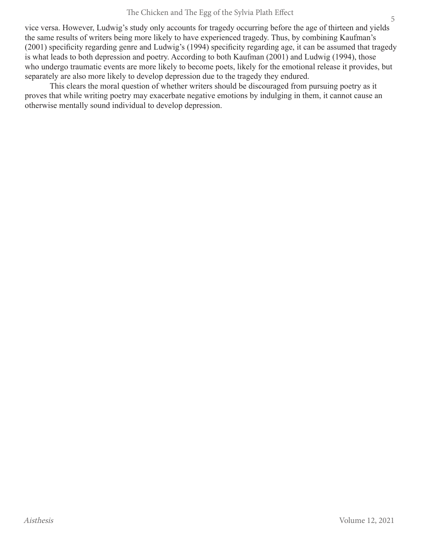vice versa. However, Ludwig's study only accounts for tragedy occurring before the age of thirteen and yields the same results of writers being more likely to have experienced tragedy. Thus, by combining Kaufman's (2001) specificity regarding genre and Ludwig's (1994) specificity regarding age, it can be assumed that tragedy is what leads to both depression and poetry. According to both Kaufman (2001) and Ludwig (1994), those who undergo traumatic events are more likely to become poets, likely for the emotional release it provides, but separately are also more likely to develop depression due to the tragedy they endured.

This clears the moral question of whether writers should be discouraged from pursuing poetry as it proves that while writing poetry may exacerbate negative emotions by indulging in them, it cannot cause an otherwise mentally sound individual to develop depression.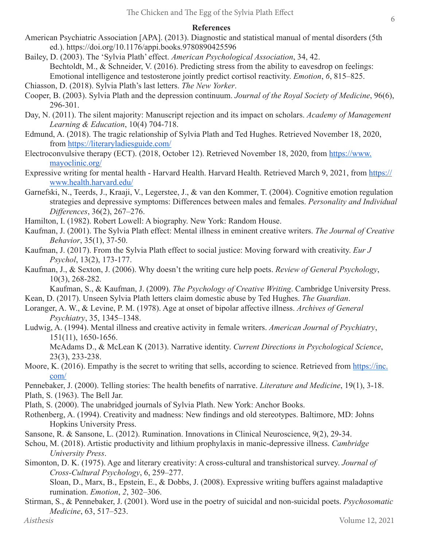# **References**

- American Psychiatric Association [APA]. (2013). Diagnostic and statistical manual of mental disorders (5th ed.). https://doi.org/10.1176/appi.books.9780890425596
- Bailey, D. (2003). The 'Sylvia Plath' effect. *American Psychological Association*, 34, 42. Bechtoldt, M., & Schneider, V. (2016). Predicting stress from the ability to eavesdrop on feelings: Emotional intelligence and testosterone jointly predict cortisol reactivity. *Emotion*, *6*, 815–825.
- Chiasson, D. (2018). Sylvia Plath's last letters. *The New Yorker*.
- Cooper, B. (2003). Sylvia Plath and the depression continuum. *Journal of the Royal Society of Medicine*, 96(6), 296-301.
- Day, N. (2011). The silent majority: Manuscript rejection and its impact on scholars. *Academy of Management Learning & Education*, 10(4) 704-718.
- Edmund, A. (2018). The tragic relationship of Sylvia Plath and Ted Hughes. Retrieved November 18, 2020, from https://literaryladiesguide.com/
- Electroconvulsive therapy (ECT). (2018, October 12). Retrieved November 18, 2020, from https://www. mayoclinic.org/
- Expressive writing for mental health Harvard Health. Harvard Health. Retrieved March 9, 2021, from https:// www.health.harvard.edu/
- Garnefski, N., Teerds, J., Kraaji, V., Legerstee, J., & van den Kommer, T. (2004). Cognitive emotion regulation strategies and depressive symptoms: Differences between males and females. *Personality and Individual Differences*, 36(2), 267–276.
- Hamilton, I. (1982). Robert Lowell: A biography. New York: Random House.
- Kaufman, J. (2001). The Sylvia Plath effect: Mental illness in eminent creative writers. *The Journal of Creative Behavior*, 35(1), 37-50.
- Kaufman, J. (2017). From the Sylvia Plath effect to social justice: Moving forward with creativity. *Eur J Psychol*, 13(2), 173-177.
- Kaufman, J., & Sexton, J. (2006). Why doesn't the writing cure help poets. *Review of General Psychology*, 10(3), 268-282.

Kaufman, S., & Kaufman, J. (2009). *The Psychology of Creative Writing*. Cambridge University Press. Kean, D. (2017). Unseen Sylvia Plath letters claim domestic abuse by Ted Hughes. *The Guardian*.

- Loranger, A. W., & Levine, P. M. (1978). Age at onset of bipolar affective illness. *Archives of General Psychiatry*, 35, 1345–1348.
- Ludwig, A. (1994). Mental illness and creative activity in female writers. *American Journal of Psychiatry*, 151(11), 1650-1656.

McAdams D., & McLean K (2013). Narrative identity. *Current Directions in Psychological Science*, 23(3), 233-238.

- Moore, K. (2016). Empathy is the secret to writing that sells, according to science. Retrieved from https://inc. com/
- Pennebaker, J. (2000). Telling stories: The health benefits of narrative. *Literature and Medicine*, 19(1), 3-18. Plath, S. (1963). The Bell Jar.
- Plath, S. (2000). The unabridged journals of Sylvia Plath. New York: Anchor Books.
- Rothenberg, A. (1994). Creativity and madness: New findings and old stereotypes. Baltimore, MD: Johns Hopkins University Press.
- Sansone, R. & Sansone, L. (2012). Rumination. Innovations in Clinical Neuroscience, 9(2), 29-34.
- Schou, M. (2018). Artistic productivity and lithium prophylaxis in manic-depressive illness. *Cambridge University Press*.
- Simonton, D. K. (1975). Age and literary creativity: A cross-cultural and transhistorical survey. *Journal of Cross-Cultural Psychology*, 6, 259–277.

Sloan, D., Marx, B., Epstein, E., & Dobbs, J. (2008). Expressive writing buffers against maladaptive rumination. *Emotion*, *2*, 302–306.

Stirman, S., & Pennebaker, J. (2001). Word use in the poetry of suicidal and non-suicidal poets. *Psychosomatic Medicine*, 63, 517–523.